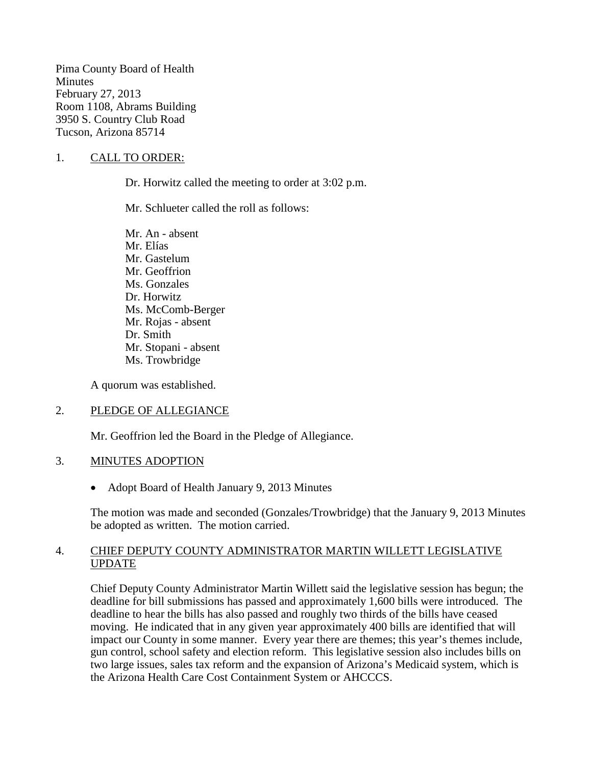Pima County Board of Health **Minutes** February 27, 2013 Room 1108, Abrams Building 3950 S. Country Club Road Tucson, Arizona 85714

# 1. CALL TO ORDER:

Dr. Horwitz called the meeting to order at 3:02 p.m.

Mr. Schlueter called the roll as follows:

Mr. An - absent Mr. Elías Mr. Gastelum Mr. Geoffrion Ms. Gonzales Dr. Horwitz Ms. McComb-Berger Mr. Rojas - absent Dr. Smith Mr. Stopani - absent Ms. Trowbridge

A quorum was established.

## 2. PLEDGE OF ALLEGIANCE

Mr. Geoffrion led the Board in the Pledge of Allegiance.

## 3. MINUTES ADOPTION

• Adopt Board of Health January 9, 2013 Minutes

The motion was made and seconded (Gonzales/Trowbridge) that the January 9, 2013 Minutes be adopted as written. The motion carried.

## 4. CHIEF DEPUTY COUNTY ADMINISTRATOR MARTIN WILLETT LEGISLATIVE UPDATE

Chief Deputy County Administrator Martin Willett said the legislative session has begun; the deadline for bill submissions has passed and approximately 1,600 bills were introduced. The deadline to hear the bills has also passed and roughly two thirds of the bills have ceased moving. He indicated that in any given year approximately 400 bills are identified that will impact our County in some manner. Every year there are themes; this year's themes include, gun control, school safety and election reform. This legislative session also includes bills on two large issues, sales tax reform and the expansion of Arizona's Medicaid system, which is the Arizona Health Care Cost Containment System or AHCCCS.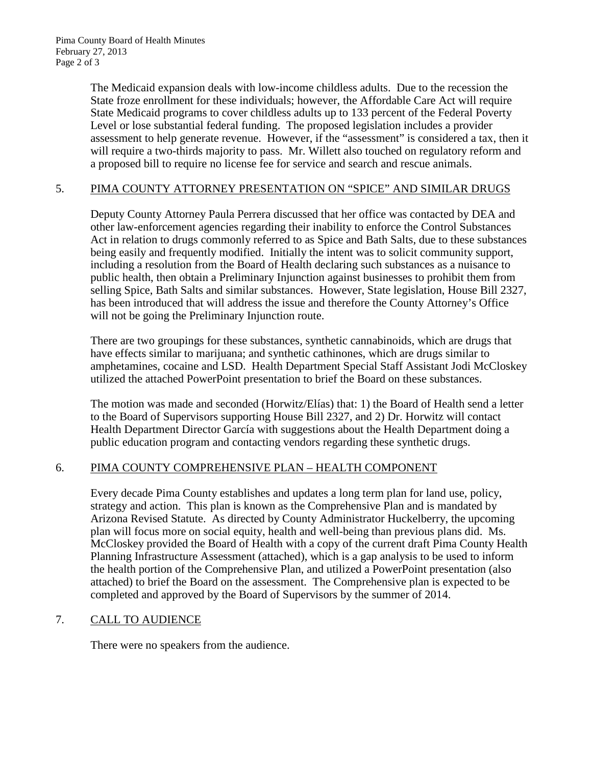The Medicaid expansion deals with low-income childless adults. Due to the recession the State froze enrollment for these individuals; however, the Affordable Care Act will require State Medicaid programs to cover childless adults up to 133 percent of the Federal Poverty Level or lose substantial federal funding. The proposed legislation includes a provider assessment to help generate revenue. However, if the "assessment" is considered a tax, then it will require a two-thirds majority to pass. Mr. Willett also touched on regulatory reform and a proposed bill to require no license fee for service and search and rescue animals.

# 5. PIMA COUNTY ATTORNEY PRESENTATION ON "SPICE" AND SIMILAR DRUGS

Deputy County Attorney Paula Perrera discussed that her office was contacted by DEA and other law-enforcement agencies regarding their inability to enforce the Control Substances Act in relation to drugs commonly referred to as Spice and Bath Salts, due to these substances being easily and frequently modified. Initially the intent was to solicit community support, including a resolution from the Board of Health declaring such substances as a nuisance to public health, then obtain a Preliminary Injunction against businesses to prohibit them from selling Spice, Bath Salts and similar substances. However, State legislation, House Bill 2327, has been introduced that will address the issue and therefore the County Attorney's Office will not be going the Preliminary Injunction route.

There are two groupings for these substances, synthetic cannabinoids, which are drugs that have effects similar to marijuana; and synthetic cathinones, which are drugs similar to amphetamines, cocaine and LSD. Health Department Special Staff Assistant Jodi McCloskey utilized the attached PowerPoint presentation to brief the Board on these substances.

The motion was made and seconded (Horwitz/Elías) that: 1) the Board of Health send a letter to the Board of Supervisors supporting House Bill 2327, and 2) Dr. Horwitz will contact Health Department Director García with suggestions about the Health Department doing a public education program and contacting vendors regarding these synthetic drugs.

# 6. PIMA COUNTY COMPREHENSIVE PLAN – HEALTH COMPONENT

Every decade Pima County establishes and updates a long term plan for land use, policy, strategy and action. This plan is known as the Comprehensive Plan and is mandated by Arizona Revised Statute. As directed by County Administrator Huckelberry, the upcoming plan will focus more on social equity, health and well-being than previous plans did. Ms. McCloskey provided the Board of Health with a copy of the current draft Pima County Health Planning Infrastructure Assessment (attached), which is a gap analysis to be used to inform the health portion of the Comprehensive Plan, and utilized a PowerPoint presentation (also attached) to brief the Board on the assessment. The Comprehensive plan is expected to be completed and approved by the Board of Supervisors by the summer of 2014.

## 7. CALL TO AUDIENCE

There were no speakers from the audience.